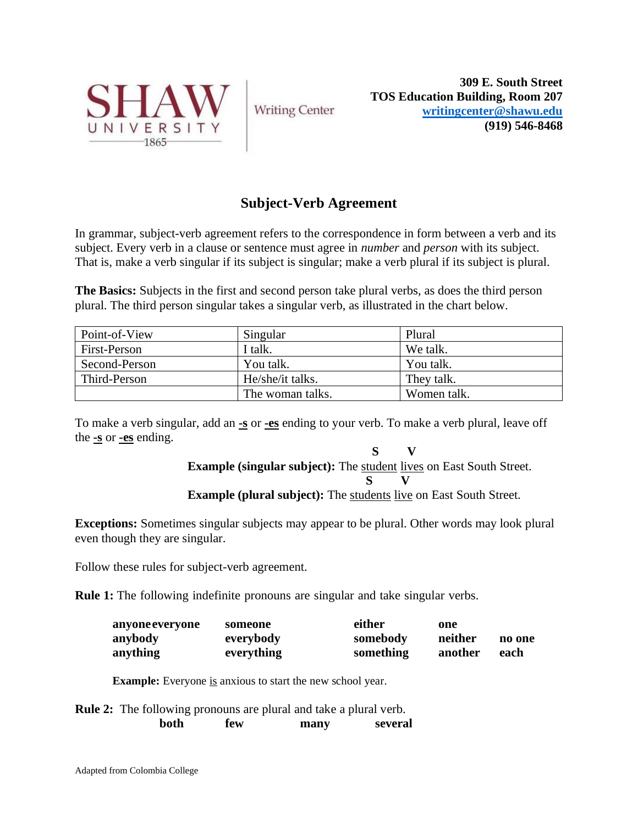

**Writing Center** 

**309 E. South Street TOS Education Building, Room 207 [writingcenter@shawu.edu](mailto:writingcenter@shawu.edu) (919) 546-8468**

## **Subject-Verb Agreement**

In grammar, subject-verb agreement refers to the correspondence in form between a verb and its subject. Every verb in a clause or sentence must agree in *number* and *person* with its subject. That is, make a verb singular if its subject is singular; make a verb plural if its subject is plural.

**The Basics:** Subjects in the first and second person take plural verbs, as does the third person plural. The third person singular takes a singular verb, as illustrated in the chart below.

| Point-of-View       | Singular         | Plural      |
|---------------------|------------------|-------------|
| <b>First-Person</b> | I talk.          | We talk.    |
| Second-Person       | You talk.        | You talk.   |
| Third-Person        | He/she/it talks. | They talk.  |
|                     | The woman talks. | Women talk. |

To make a verb singular, add an **-s** or **-es** ending to your verb. To make a verb plural, leave off the **-s** or **-es** ending.

> **S V Example (singular subject):** The student lives on East South Street.  **S V**

**Example (plural subject):** The students live on East South Street.

**Exceptions:** Sometimes singular subjects may appear to be plural. Other words may look plural even though they are singular.

Follow these rules for subject-verb agreement.

**Rule 1:** The following indefinite pronouns are singular and take singular verbs.

| anyone everyone | someone    | either    | one     |        |
|-----------------|------------|-----------|---------|--------|
| anybody         | everybody  | somebody  | neither | no one |
| anything        | everything | something | another | each   |

**Example:** Everyone is anxious to start the new school year.

**Rule 2:** The following pronouns are plural and take a plural verb.  **both few many several**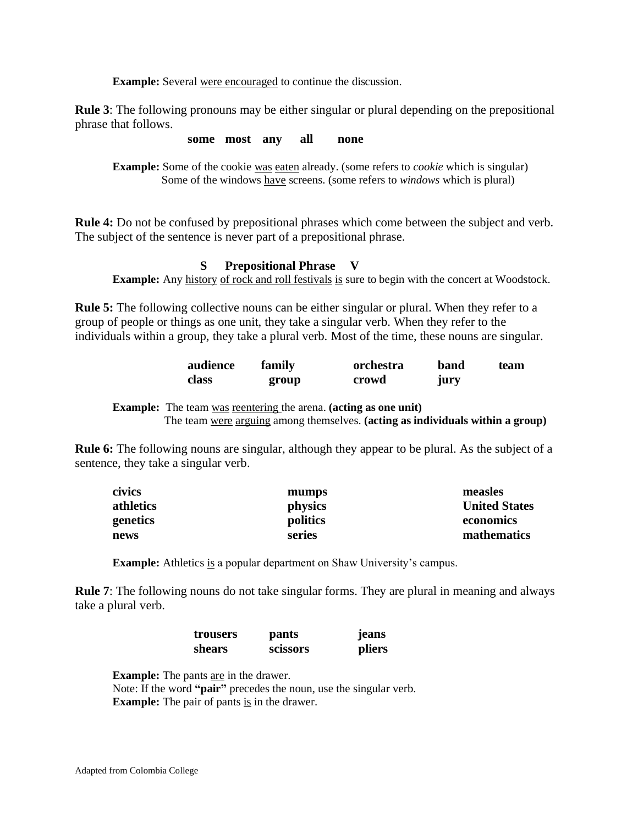**Example:** Several were encouraged to continue the discussion.

**Rule 3**: The following pronouns may be either singular or plural depending on the prepositional phrase that follows.

**some most any all none**

**Example:** Some of the cookie was eaten already. (some refers to *cookie* which is singular) Some of the windows have screens. (some refers to *windows* which is plural)

**Rule 4:** Do not be confused by prepositional phrases which come between the subject and verb. The subject of the sentence is never part of a prepositional phrase.

 **S Prepositional Phrase V Example:** Any history of rock and roll festivals is sure to begin with the concert at Woodstock.

**Rule 5:** The following collective nouns can be either singular or plural. When they refer to a group of people or things as one unit, they take a singular verb. When they refer to the individuals within a group, they take a plural verb. Most of the time, these nouns are singular.

| audience | family | orchestra | band | team |
|----------|--------|-----------|------|------|
| class    | group  | crowd     | jury |      |

**Example:** The team was reentering the arena. **(acting as one unit)** The team were arguing among themselves. **(acting as individuals within a group)**

**Rule 6:** The following nouns are singular, although they appear to be plural. As the subject of a sentence, they take a singular verb.

| civics    | mumps    | measles              |
|-----------|----------|----------------------|
| athletics | physics  | <b>United States</b> |
| genetics  | politics | economics            |
| news      | series   | mathematics          |

**Example:** Athletics is a popular department on Shaw University's campus.

**Rule 7**: The following nouns do not take singular forms. They are plural in meaning and always take a plural verb.

| trousers | pants           | <b>Jeans</b> |
|----------|-----------------|--------------|
| shears   | <b>SCISSOFS</b> | pliers       |

**Example:** The pants are in the drawer.

Note: If the word **"pair"** precedes the noun, use the singular verb. **Example:** The pair of pants is in the drawer.